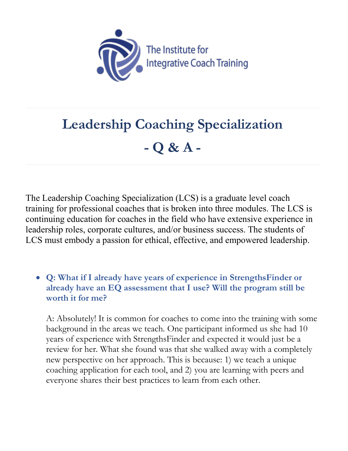

# **Leadership Coaching Specialization - Q & A -**

The Leadership Coaching Specialization (LCS) is a graduate level coach training for professional coaches that is broken into three modules. The LCS is continuing education for coaches in the field who have extensive experience in leadership roles, corporate cultures, and/or business success. The students of LCS must embody a passion for ethical, effective, and empowered leadership.

• **Q: What if I already have years of experience in StrengthsFinder or already have an EQ assessment that I use? Will the program still be worth it for me?**

A: Absolutely! It is common for coaches to come into the training with some background in the areas we teach. One participant informed us she had 10 years of experience with StrengthsFinder and expected it would just be a review for her. What she found was that she walked away with a completely new perspective on her approach. This is because: 1) we teach a unique coaching application for each tool, and 2) you are learning with peers and everyone shares their best practices to learn from each other.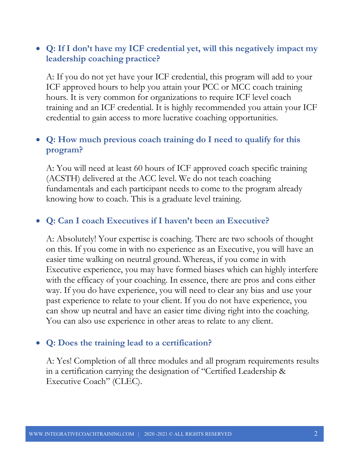# • **Q: If I don't have my ICF credential yet, will this negatively impact my leadership coaching practice?**

A: If you do not yet have your ICF credential, this program will add to your ICF approved hours to help you attain your PCC or MCC coach training hours. It is very common for organizations to require ICF level coach training and an ICF credential. It is highly recommended you attain your ICF credential to gain access to more lucrative coaching opportunities.

# • **Q: How much previous coach training do I need to qualify for this program?**

A: You will need at least 60 hours of ICF approved coach specific training (ACSTH) delivered at the ACC level. We do not teach coaching fundamentals and each participant needs to come to the program already knowing how to coach. This is a graduate level training.

# • **Q: Can I coach Executives if I haven't been an Executive?**

A: Absolutely! Your expertise is coaching. There are two schools of thought on this. If you come in with no experience as an Executive, you will have an easier time walking on neutral ground. Whereas, if you come in with Executive experience, you may have formed biases which can highly interfere with the efficacy of your coaching. In essence, there are pros and cons either way. If you do have experience, you will need to clear any bias and use your past experience to relate to your client. If you do not have experience, you can show up neutral and have an easier time diving right into the coaching. You can also use experience in other areas to relate to any client.

# • **Q: Does the training lead to a certification?**

A: Yes! Completion of all three modules and all program requirements results in a certification carrying the designation of "Certified Leadership & Executive Coach" (CLEC).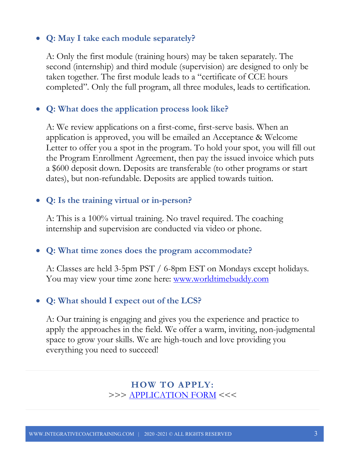# • **Q: May I take each module separately?**

A: Only the first module (training hours) may be taken separately. The second (internship) and third module (supervision) are designed to only be taken together. The first module leads to a "certificate of CCE hours completed". Only the full program, all three modules, leads to certification.

#### • **Q: What does the application process look like?**

A: We review applications on a first-come, first-serve basis. When an application is approved, you will be emailed an Acceptance & Welcome Letter to offer you a spot in the program. To hold your spot, you will fill out the Program Enrollment Agreement, then pay the issued invoice which puts a \$600 deposit down. Deposits are transferable (to other programs or start dates), but non-refundable. Deposits are applied towards tuition.

#### • **Q: Is the training virtual or in-person?**

A: This is a 100% virtual training. No travel required. The coaching internship and supervision are conducted via video or phone.

#### • **Q: What time zones does the program accommodate?**

A: Classes are held 3-5pm PST / 6-8pm EST on Mondays except holidays. You may view your time zone here: <u>www.worldtimebuddy.com</u>

#### • **Q: What should I expect out of the LCS?**

A: Our training is engaging and gives you the experience and practice to apply the approaches in the field. We offer a warm, inviting, non-judgmental space to grow your skills. We are high-touch and love providing you everything you need to succeed!

> **HOW TO APPLY:** >>> APPLICATION FORM <<<